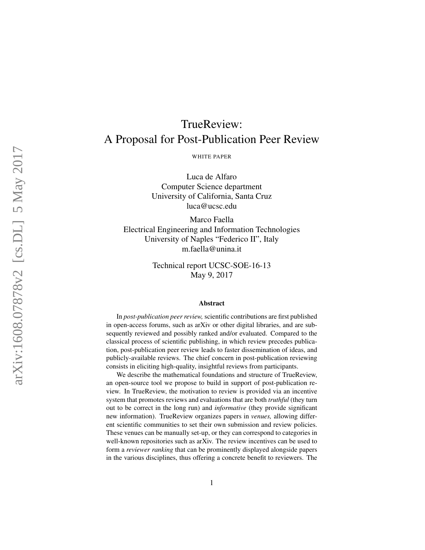# TrueReview: A Proposal for Post-Publication Peer Review WHITE PAPER Luca de Alfaro

Computer Science department University of California, Santa Cruz luca@ucsc.edu

Marco Faella Electrical Engineering and Information Technologies University of Naples "Federico II", Italy m.faella@unina.it

> Technical report UCSC-SOE-16-13 May 9, 2017

#### Abstract

In *post-publication peer review,* scientific contributions are first published in open-access forums, such as arXiv or other digital libraries, and are subsequently reviewed and possibly ranked and/or evaluated. Compared to the classical process of scientific publishing, in which review precedes publication, post-publication peer review leads to faster dissemination of ideas, and publicly-available reviews. The chief concern in post-publication reviewing consists in eliciting high-quality, insightful reviews from participants.

We describe the mathematical foundations and structure of TrueReview, an open-source tool we propose to build in support of post-publication review. In TrueReview, the motivation to review is provided via an incentive system that promotes reviews and evaluations that are both *truthful* (they turn out to be correct in the long run) and *informative* (they provide significant new information). TrueReview organizes papers in *venues,* allowing different scientific communities to set their own submission and review policies. These venues can be manually set-up, or they can correspond to categories in well-known repositories such as arXiv. The review incentives can be used to form a *reviewer ranking* that can be prominently displayed alongside papers in the various disciplines, thus offering a concrete benefit to reviewers. The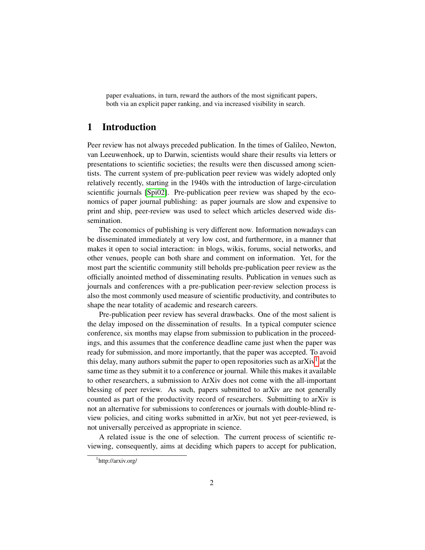paper evaluations, in turn, reward the authors of the most significant papers, both via an explicit paper ranking, and via increased visibility in search.

## 1 Introduction

Peer review has not always preceded publication. In the times of Galileo, Newton, van Leeuwenhoek, up to Darwin, scientists would share their results via letters or presentations to scientific societies; the results were then discussed among scientists. The current system of pre-publication peer review was widely adopted only relatively recently, starting in the 1940s with the introduction of large-circulation scientific journals [\[Spi02\]](#page-23-0). Pre-publication peer review was shaped by the economics of paper journal publishing: as paper journals are slow and expensive to print and ship, peer-review was used to select which articles deserved wide dissemination.

The economics of publishing is very different now. Information nowadays can be disseminated immediately at very low cost, and furthermore, in a manner that makes it open to social interaction: in blogs, wikis, forums, social networks, and other venues, people can both share and comment on information. Yet, for the most part the scientific community still beholds pre-publication peer review as the officially anointed method of disseminating results. Publication in venues such as journals and conferences with a pre-publication peer-review selection process is also the most commonly used measure of scientific productivity, and contributes to shape the near totality of academic and research careers.

Pre-publication peer review has several drawbacks. One of the most salient is the delay imposed on the dissemination of results. In a typical computer science conference, six months may elapse from submission to publication in the proceedings, and this assumes that the conference deadline came just when the paper was ready for submission, and more importantly, that the paper was accepted. To avoid this delay, many authors submit the paper to open repositories such as ar $Xiv<sup>1</sup>$  $Xiv<sup>1</sup>$  $Xiv<sup>1</sup>$  at the same time as they submit it to a conference or journal. While this makes it available to other researchers, a submission to ArXiv does not come with the all-important blessing of peer review. As such, papers submitted to arXiv are not generally counted as part of the productivity record of researchers. Submitting to arXiv is not an alternative for submissions to conferences or journals with double-blind review policies, and citing works submitted in arXiv, but not yet peer-reviewed, is not universally perceived as appropriate in science.

A related issue is the one of selection. The current process of scientific reviewing, consequently, aims at deciding which papers to accept for publication,

<span id="page-1-0"></span><sup>1</sup> http://arxiv.org/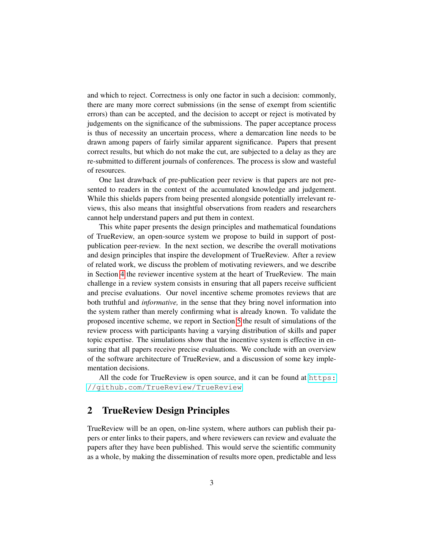and which to reject. Correctness is only one factor in such a decision: commonly, there are many more correct submissions (in the sense of exempt from scientific errors) than can be accepted, and the decision to accept or reject is motivated by judgements on the significance of the submissions. The paper acceptance process is thus of necessity an uncertain process, where a demarcation line needs to be drawn among papers of fairly similar apparent significance. Papers that present correct results, but which do not make the cut, are subjected to a delay as they are re-submitted to different journals of conferences. The process is slow and wasteful of resources.

One last drawback of pre-publication peer review is that papers are not presented to readers in the context of the accumulated knowledge and judgement. While this shields papers from being presented alongside potentially irrelevant reviews, this also means that insightful observations from readers and researchers cannot help understand papers and put them in context.

This white paper presents the design principles and mathematical foundations of TrueReview, an open-source system we propose to build in support of postpublication peer-review. In the next section, we describe the overall motivations and design principles that inspire the development of TrueReview. After a review of related work, we discuss the problem of motivating reviewers, and we describe in Section [4](#page-8-0) the reviewer incentive system at the heart of TrueReview. The main challenge in a review system consists in ensuring that all papers receive sufficient and precise evaluations. Our novel incentive scheme promotes reviews that are both truthful and *informative,* in the sense that they bring novel information into the system rather than merely confirming what is already known. To validate the proposed incentive scheme, we report in Section [5](#page-12-0) the result of simulations of the review process with participants having a varying distribution of skills and paper topic expertise. The simulations show that the incentive system is effective in ensuring that all papers receive precise evaluations. We conclude with an overview of the software architecture of TrueReview, and a discussion of some key implementation decisions.

All the code for TrueReview is open source, and it can be found at [https:](https://github.com/TrueReview/TrueReview) [//github.com/TrueReview/TrueReview](https://github.com/TrueReview/TrueReview).

## 2 TrueReview Design Principles

TrueReview will be an open, on-line system, where authors can publish their papers or enter links to their papers, and where reviewers can review and evaluate the papers after they have been published. This would serve the scientific community as a whole, by making the dissemination of results more open, predictable and less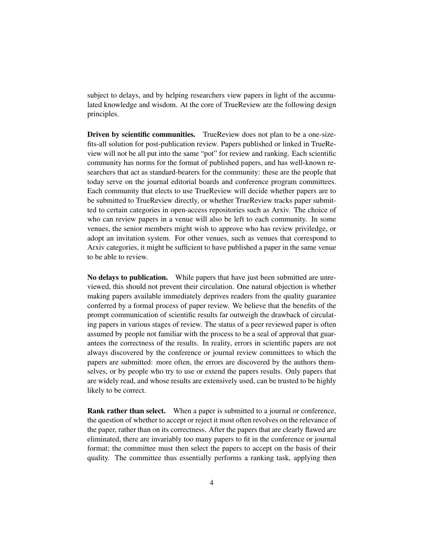subject to delays, and by helping researchers view papers in light of the accumulated knowledge and wisdom. At the core of TrueReview are the following design principles.

Driven by scientific communities. TrueReview does not plan to be a one-sizefits-all solution for post-publication review. Papers published or linked in TrueReview will not be all put into the same "pot" for review and ranking. Each scientific community has norms for the format of published papers, and has well-known researchers that act as standard-bearers for the community: these are the people that today serve on the journal editorial boards and conference program committees. Each community that elects to use TrueReview will decide whether papers are to be submitted to TrueReview directly, or whether TrueReview tracks paper submitted to certain categories in open-access repositories such as Arxiv. The choice of who can review papers in a venue will also be left to each community. In some venues, the senior members might wish to approve who has review priviledge, or adopt an invitation system. For other venues, such as venues that correspond to Arxiv categories, it might be sufficient to have published a paper in the same venue to be able to review.

No delays to publication. While papers that have just been submitted are unreviewed, this should not prevent their circulation. One natural objection is whether making papers available immediately deprives readers from the quality guarantee conferred by a formal process of paper review. We believe that the benefits of the prompt communication of scientific results far outweigh the drawback of circulating papers in various stages of review. The status of a peer reviewed paper is often assumed by people not familiar with the process to be a seal of approval that guarantees the correctness of the results. In reality, errors in scientific papers are not always discovered by the conference or journal review committees to which the papers are submitted: more often, the errors are discovered by the authors themselves, or by people who try to use or extend the papers results. Only papers that are widely read, and whose results are extensively used, can be trusted to be highly likely to be correct.

Rank rather than select. When a paper is submitted to a journal or conference, the question of whether to accept or reject it most often revolves on the relevance of the paper, rather than on its correctness. After the papers that are clearly flawed are eliminated, there are invariably too many papers to fit in the conference or journal format; the committee must then select the papers to accept on the basis of their quality. The committee thus essentially performs a ranking task, applying then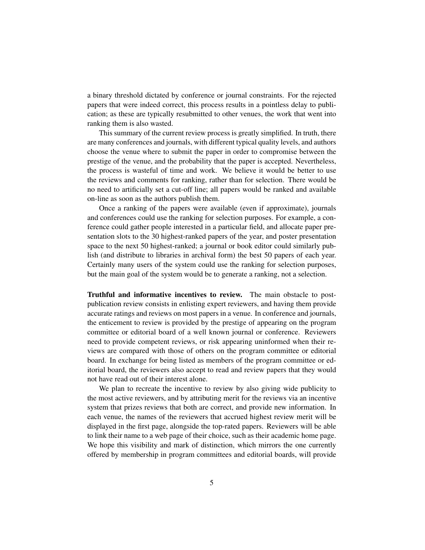a binary threshold dictated by conference or journal constraints. For the rejected papers that were indeed correct, this process results in a pointless delay to publication; as these are typically resubmitted to other venues, the work that went into ranking them is also wasted.

This summary of the current review process is greatly simplified. In truth, there are many conferences and journals, with different typical quality levels, and authors choose the venue where to submit the paper in order to compromise between the prestige of the venue, and the probability that the paper is accepted. Nevertheless, the process is wasteful of time and work. We believe it would be better to use the reviews and comments for ranking, rather than for selection. There would be no need to artificially set a cut-off line; all papers would be ranked and available on-line as soon as the authors publish them.

Once a ranking of the papers were available (even if approximate), journals and conferences could use the ranking for selection purposes. For example, a conference could gather people interested in a particular field, and allocate paper presentation slots to the 30 highest-ranked papers of the year, and poster presentation space to the next 50 highest-ranked; a journal or book editor could similarly publish (and distribute to libraries in archival form) the best 50 papers of each year. Certainly many users of the system could use the ranking for selection purposes, but the main goal of the system would be to generate a ranking, not a selection.

Truthful and informative incentives to review. The main obstacle to postpublication review consists in enlisting expert reviewers, and having them provide accurate ratings and reviews on most papers in a venue. In conference and journals, the enticement to review is provided by the prestige of appearing on the program committee or editorial board of a well known journal or conference. Reviewers need to provide competent reviews, or risk appearing uninformed when their reviews are compared with those of others on the program committee or editorial board. In exchange for being listed as members of the program committee or editorial board, the reviewers also accept to read and review papers that they would not have read out of their interest alone.

We plan to recreate the incentive to review by also giving wide publicity to the most active reviewers, and by attributing merit for the reviews via an incentive system that prizes reviews that both are correct, and provide new information. In each venue, the names of the reviewers that accrued highest review merit will be displayed in the first page, alongside the top-rated papers. Reviewers will be able to link their name to a web page of their choice, such as their academic home page. We hope this visibility and mark of distinction, which mirrors the one currently offered by membership in program committees and editorial boards, will provide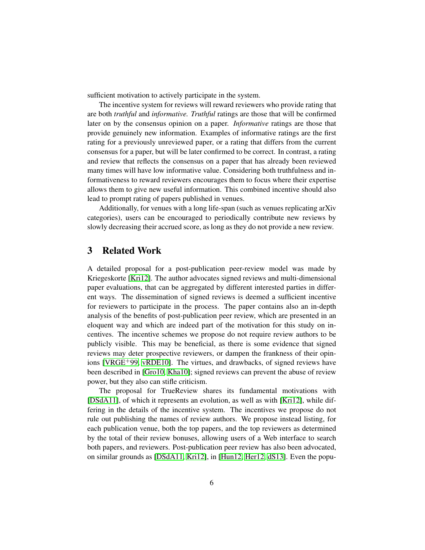sufficient motivation to actively participate in the system.

The incentive system for reviews will reward reviewers who provide rating that are both *truthful* and *informative. Truthful* ratings are those that will be confirmed later on by the consensus opinion on a paper. *Informative* ratings are those that provide genuinely new information. Examples of informative ratings are the first rating for a previously unreviewed paper, or a rating that differs from the current consensus for a paper, but will be later confirmed to be correct. In contrast, a rating and review that reflects the consensus on a paper that has already been reviewed many times will have low informative value. Considering both truthfulness and informativeness to reward reviewers encourages them to focus where their expertise allows them to give new useful information. This combined incentive should also lead to prompt rating of papers published in venues.

Additionally, for venues with a long life-span (such as venues replicating arXiv categories), users can be encouraged to periodically contribute new reviews by slowly decreasing their accrued score, as long as they do not provide a new review.

## 3 Related Work

A detailed proposal for a post-publication peer-review model was made by Kriegeskorte [\[Kri12\]](#page-22-0). The author advocates signed reviews and multi-dimensional paper evaluations, that can be aggregated by different interested parties in different ways. The dissemination of signed reviews is deemed a sufficient incentive for reviewers to participate in the process. The paper contains also an in-depth analysis of the benefits of post-publication peer review, which are presented in an eloquent way and which are indeed part of the motivation for this study on incentives. The incentive schemes we propose do not require review authors to be publicly visible. This may be beneficial, as there is some evidence that signed reviews may deter prospective reviewers, or dampen the frankness of their opinions [\[VRGE](#page-23-1)+99, [vRDE10\]](#page-23-2). The virtues, and drawbacks, of signed reviews have been described in [\[Gro10,](#page-22-1) [Kha10\]](#page-22-2); signed reviews can prevent the abuse of review power, but they also can stifle criticism.

The proposal for TrueReview shares its fundamental motivations with [\[DSdA11\]](#page-21-0), of which it represents an evolution, as well as with [\[Kri12\]](#page-22-0), while differing in the details of the incentive system. The incentives we propose do not rule out publishing the names of review authors. We propose instead listing, for each publication venue, both the top papers, and the top reviewers as determined by the total of their review bonuses, allowing users of a Web interface to search both papers, and reviewers. Post-publication peer review has also been advocated, on similar grounds as [\[DSdA11,](#page-21-0) [Kri12\]](#page-22-0), in [\[Hun12,](#page-22-3) [Her12,](#page-22-4) [dS13\]](#page-21-1). Even the popu-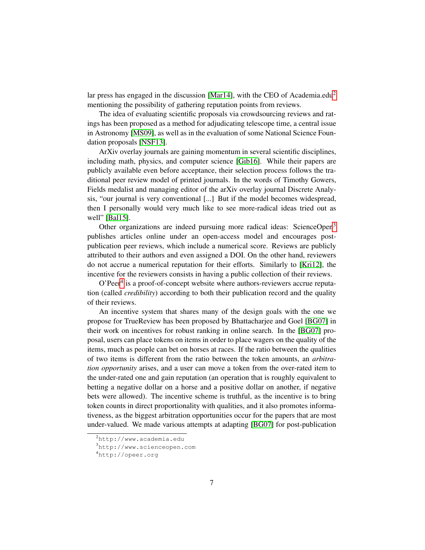lar press has engaged in the discussion [\[Mar14\]](#page-22-5), with the CEO of Academia.edu<sup>[2](#page-6-0)</sup> mentioning the possibility of gathering reputation points from reviews.

The idea of evaluating scientific proposals via crowdsourcing reviews and ratings has been proposed as a method for adjudicating telescope time, a central issue in Astronomy [\[MS09\]](#page-22-6), as well as in the evaluation of some National Science Foundation proposals [\[NSF13\]](#page-22-7).

ArXiv overlay journals are gaining momentum in several scientific disciplines, including math, physics, and computer science [\[Gib16\]](#page-22-8). While their papers are publicly available even before acceptance, their selection process follows the traditional peer review model of printed journals. In the words of Timothy Gowers, Fields medalist and managing editor of the arXiv overlay journal Discrete Analysis, "our journal is very conventional [...] But if the model becomes widespread, then I personally would very much like to see more-radical ideas tried out as well" [\[Bal15\]](#page-21-2).

Other organizations are indeed pursuing more radical ideas: ScienceOpen<sup>[3](#page-6-1)</sup> publishes articles online under an open-access model and encourages postpublication peer reviews, which include a numerical score. Reviews are publicly attributed to their authors and even assigned a DOI. On the other hand, reviewers do not accrue a numerical reputation for their efforts. Similarly to [\[Kri12\]](#page-22-0), the incentive for the reviewers consists in having a public collection of their reviews.

O'Peer<sup>[4](#page-6-2)</sup> is a proof-of-concept website where authors-reviewers accrue reputation (called *credibility*) according to both their publication record and the quality of their reviews.

An incentive system that shares many of the design goals with the one we propose for TrueReview has been proposed by Bhattacharjee and Goel [\[BG07\]](#page-21-3) in their work on incentives for robust ranking in online search. In the [\[BG07\]](#page-21-3) proposal, users can place tokens on items in order to place wagers on the quality of the items, much as people can bet on horses at races. If the ratio between the qualities of two items is different from the ratio between the token amounts, an *arbitration opportunity* arises, and a user can move a token from the over-rated item to the under-rated one and gain reputation (an operation that is roughly equivalent to betting a negative dollar on a horse and a positive dollar on another, if negative bets were allowed). The incentive scheme is truthful, as the incentive is to bring token counts in direct proportionality with qualities, and it also promotes informativeness, as the biggest arbitration opportunities occur for the papers that are most under-valued. We made various attempts at adapting [\[BG07\]](#page-21-3) for post-publication

<span id="page-6-0"></span><sup>2</sup>http://www.academia.edu

<span id="page-6-1"></span><sup>3</sup>http://www.scienceopen.com

<span id="page-6-2"></span><sup>4</sup>http://opeer.org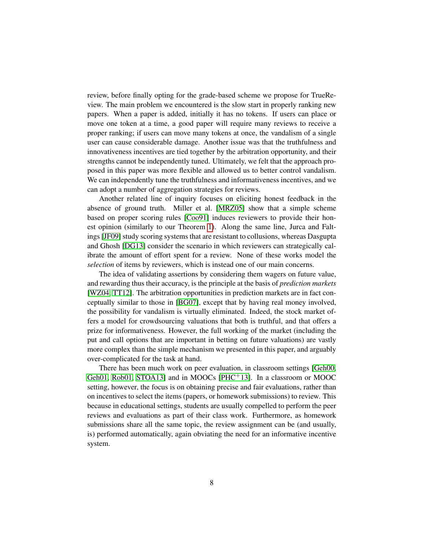review, before finally opting for the grade-based scheme we propose for TrueReview. The main problem we encountered is the slow start in properly ranking new papers. When a paper is added, initially it has no tokens. If users can place or move one token at a time, a good paper will require many reviews to receive a proper ranking; if users can move many tokens at once, the vandalism of a single user can cause considerable damage. Another issue was that the truthfulness and innovativeness incentives are tied together by the arbitration opportunity, and their strengths cannot be independently tuned. Ultimately, we felt that the approach proposed in this paper was more flexible and allowed us to better control vandalism. We can independently tune the truthfulness and informativeness incentives, and we can adopt a number of aggregation strategies for reviews.

Another related line of inquiry focuses on eliciting honest feedback in the absence of ground truth. Miller et al. [\[MRZ05\]](#page-22-9) show that a simple scheme based on proper scoring rules [\[Coo91\]](#page-21-4) induces reviewers to provide their honest opinion (similarly to our Theorem [1\)](#page-11-0). Along the same line, Jurca and Faltings [\[JF09\]](#page-22-10) study scoring systems that are resistant to collusions, whereas Dasgupta and Ghosh [\[DG13\]](#page-21-5) consider the scenario in which reviewers can strategically calibrate the amount of effort spent for a review. None of these works model the *selection* of items by reviewers, which is instead one of our main concerns.

The idea of validating assertions by considering them wagers on future value, and rewarding thus their accuracy, is the principle at the basis of *prediction markets* [\[WZ04,](#page-23-3) [TT12\]](#page-23-4). The arbitration opportunities in prediction markets are in fact conceptually similar to those in [\[BG07\]](#page-21-3), except that by having real money involved, the possibility for vandalism is virtually eliminated. Indeed, the stock market offers a model for crowdsourcing valuations that both is truthful, and that offers a prize for informativeness. However, the full working of the market (including the put and call options that are important in betting on future valuations) are vastly more complex than the simple mechanism we presented in this paper, and arguably over-complicated for the task at hand.

There has been much work on peer evaluation, in classroom settings [\[Geh00,](#page-21-6) [Geh01,](#page-22-11) [Rob01,](#page-23-5) [STOA13\]](#page-23-6) and in MOOCs [\[PHC](#page-23-7)<sup>+</sup>13]. In a classroom or MOOC setting, however, the focus is on obtaining precise and fair evaluations, rather than on incentives to select the items (papers, or homework submissions) to review. This because in educational settings, students are usually compelled to perform the peer reviews and evaluations as part of their class work. Furthermore, as homework submissions share all the same topic, the review assignment can be (and usually, is) performed automatically, again obviating the need for an informative incentive system.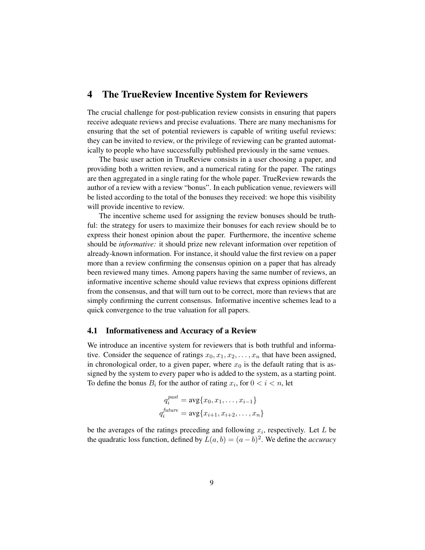## <span id="page-8-0"></span>4 The TrueReview Incentive System for Reviewers

The crucial challenge for post-publication review consists in ensuring that papers receive adequate reviews and precise evaluations. There are many mechanisms for ensuring that the set of potential reviewers is capable of writing useful reviews: they can be invited to review, or the privilege of reviewing can be granted automatically to people who have successfully published previously in the same venues.

The basic user action in TrueReview consists in a user choosing a paper, and providing both a written review, and a numerical rating for the paper. The ratings are then aggregated in a single rating for the whole paper. TrueReview rewards the author of a review with a review "bonus". In each publication venue, reviewers will be listed according to the total of the bonuses they received: we hope this visibility will provide incentive to review.

The incentive scheme used for assigning the review bonuses should be truthful: the strategy for users to maximize their bonuses for each review should be to express their honest opinion about the paper. Furthermore, the incentive scheme should be *informative:* it should prize new relevant information over repetition of already-known information. For instance, it should value the first review on a paper more than a review confirming the consensus opinion on a paper that has already been reviewed many times. Among papers having the same number of reviews, an informative incentive scheme should value reviews that express opinions different from the consensus, and that will turn out to be correct, more than reviews that are simply confirming the current consensus. Informative incentive schemes lead to a quick convergence to the true valuation for all papers.

#### 4.1 Informativeness and Accuracy of a Review

We introduce an incentive system for reviewers that is both truthful and informative. Consider the sequence of ratings  $x_0, x_1, x_2, \ldots, x_n$  that have been assigned, in chronological order, to a given paper, where  $x_0$  is the default rating that is assigned by the system to every paper who is added to the system, as a starting point. To define the bonus  $B_i$  for the author of rating  $x_i$ , for  $0 < i < n$ , let

$$
q_i^{past} = \text{avg}\{x_0, x_1, \dots, x_{i-1}\}
$$

$$
q_i^{future} = \text{avg}\{x_{i+1}, x_{i+2}, \dots, x_n\}
$$

be the averages of the ratings preceding and following  $x_i$ , respectively. Let  $L$  be the quadratic loss function, defined by  $L(a, b) = (a - b)^2$ . We define the *accuracy*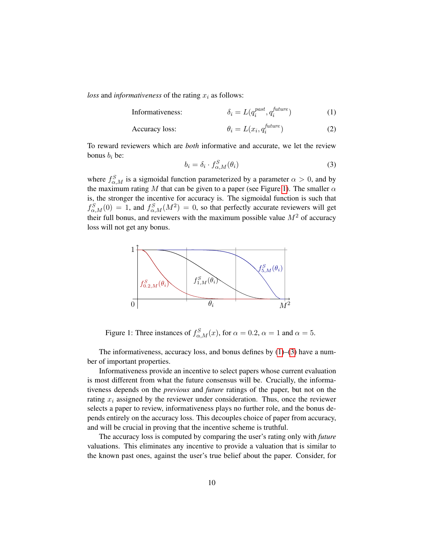*loss* and *informativeness* of the rating  $x_i$  as follows:

$$
Information functions: \t\t\t\t\t\delta_i = L(q_i^{past}, q_i^{future})
$$
\n(1)

$$
\text{Accuracy loss:} \qquad \theta_i = L(x_i, q_i^{future}) \tag{2}
$$

To reward reviewers which are *both* informative and accurate, we let the review bonus  $b_i$  be:

<span id="page-9-2"></span><span id="page-9-1"></span>
$$
b_i = \delta_i \cdot f_{\alpha,M}^S(\theta_i) \tag{3}
$$

where  $f_{\alpha,M}^S$  is a sigmoidal function parameterized by a parameter  $\alpha > 0$ , and by the maximum rating M that can be given to a paper (see Figure [1\)](#page-9-0). The smaller  $\alpha$ is, the stronger the incentive for accuracy is. The sigmoidal function is such that  $f_{\alpha,M}^S(0) = 1$ , and  $f_{\alpha,M}^S(M^2) = 0$ , so that perfectly accurate reviewers will get their full bonus, and reviewers with the maximum possible value  $M^2$  of accuracy loss will not get any bonus.



<span id="page-9-0"></span>Figure 1: Three instances of  $f_{\alpha,M}^S(x)$ , for  $\alpha = 0.2$ ,  $\alpha = 1$  and  $\alpha = 5$ .

The informativeness, accuracy loss, and bonus defines by  $(1)$ – $(3)$  have a number of important properties.

Informativeness provide an incentive to select papers whose current evaluation is most different from what the future consensus will be. Crucially, the informativeness depends on the *previous* and *future* ratings of the paper, but not on the rating  $x_i$  assigned by the reviewer under consideration. Thus, once the reviewer selects a paper to review, informativeness plays no further role, and the bonus depends entirely on the accuracy loss. This decouples choice of paper from accuracy, and will be crucial in proving that the incentive scheme is truthful.

The accuracy loss is computed by comparing the user's rating only with *future* valuations. This eliminates any incentive to provide a valuation that is similar to the known past ones, against the user's true belief about the paper. Consider, for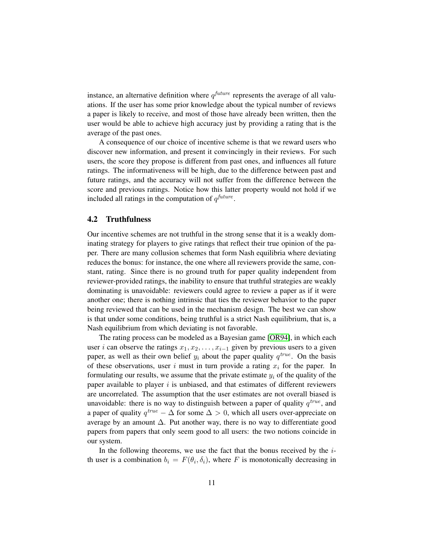instance, an alternative definition where  $q^{future}$  represents the average of all valuations. If the user has some prior knowledge about the typical number of reviews a paper is likely to receive, and most of those have already been written, then the user would be able to achieve high accuracy just by providing a rating that is the average of the past ones.

A consequence of our choice of incentive scheme is that we reward users who discover new information, and present it convincingly in their reviews. For such users, the score they propose is different from past ones, and influences all future ratings. The informativeness will be high, due to the difference between past and future ratings, and the accuracy will not suffer from the difference between the score and previous ratings. Notice how this latter property would not hold if we included all ratings in the computation of  $q^{future}$ .

#### 4.2 Truthfulness

Our incentive schemes are not truthful in the strong sense that it is a weakly dominating strategy for players to give ratings that reflect their true opinion of the paper. There are many collusion schemes that form Nash equilibria where deviating reduces the bonus: for instance, the one where all reviewers provide the same, constant, rating. Since there is no ground truth for paper quality independent from reviewer-provided ratings, the inability to ensure that truthful strategies are weakly dominating is unavoidable: reviewers could agree to review a paper as if it were another one; there is nothing intrinsic that ties the reviewer behavior to the paper being reviewed that can be used in the mechanism design. The best we can show is that under some conditions, being truthful is a strict Nash equilibrium, that is, a Nash equilibrium from which deviating is not favorable.

The rating process can be modeled as a Bayesian game [\[OR94\]](#page-22-12), in which each user *i* can observe the ratings  $x_1, x_2, \ldots, x_{i-1}$  given by previous users to a given paper, as well as their own belief  $y_i$  about the paper quality  $q^{true}$ . On the basis of these observations, user i must in turn provide a rating  $x_i$  for the paper. In formulating our results, we assume that the private estimate  $y_i$  of the quality of the paper available to player  $i$  is unbiased, and that estimates of different reviewers are uncorrelated. The assumption that the user estimates are not overall biased is unavoidable: there is no way to distinguish between a paper of quality  $q^{true}$ , and a paper of quality  $q^{true} - \Delta$  for some  $\Delta > 0$ , which all users over-appreciate on average by an amount  $\Delta$ . Put another way, there is no way to differentiate good papers from papers that only seem good to all users: the two notions coincide in our system.

In the following theorems, we use the fact that the bonus received by the  $i$ th user is a combination  $b_i = F(\theta_i, \delta_i)$ , where F is monotonically decreasing in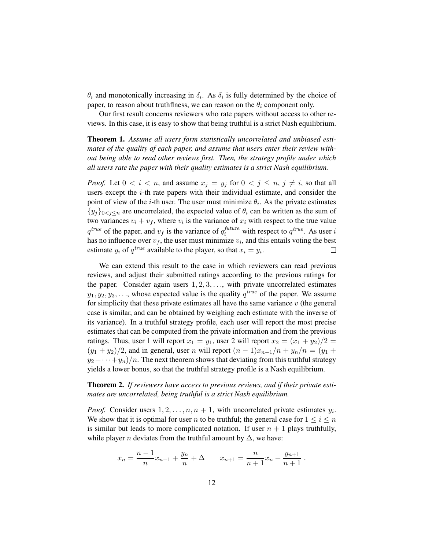$\theta_i$  and monotonically increasing in  $\delta_i$ . As  $\delta_i$  is fully determined by the choice of paper, to reason about truthflness, we can reason on the  $\theta_i$  component only.

Our first result concerns reviewers who rate papers without access to other reviews. In this case, it is easy to show that being truthful is a strict Nash equilibrium.

<span id="page-11-0"></span>Theorem 1. *Assume all users form statistically uncorrelated and unbiased estimates of the quality of each paper, and assume that users enter their review without being able to read other reviews first. Then, the strategy profile under which all users rate the paper with their quality estimates is a strict Nash equilibrium.*

*Proof.* Let  $0 < i < n$ , and assume  $x_j = y_j$  for  $0 < j \le n$ ,  $j \ne i$ , so that all users except the  $i$ -th rate papers with their individual estimate, and consider the point of view of the *i*-th user. The user must minimize  $\theta_i$ . As the private estimates  ${y_i}_{0 \leq i \leq n}$  are uncorrelated, the expected value of  $\theta_i$  can be written as the sum of two variances  $v_i + v_f$ , where  $v_i$  is the variance of  $x_i$  with respect to the true value  $q^{true}$  of the paper, and  $v_f$  is the variance of  $q_i^{future}$  with respect to  $q^{true}$ . As user i has no influence over  $v_f$ , the user must minimize  $v_i$ , and this entails voting the best estimate  $y_i$  of  $q^{true}$  available to the player, so that  $x_i = y_i$ .  $\Box$ 

We can extend this result to the case in which reviewers can read previous reviews, and adjust their submitted ratings according to the previous ratings for the paper. Consider again users  $1, 2, 3, \ldots$ , with private uncorrelated estimates  $y_1, y_2, y_3, \ldots$ , whose expected value is the quality  $q^{true}$  of the paper. We assume for simplicity that these private estimates all have the same variance  $v$  (the general case is similar, and can be obtained by weighing each estimate with the inverse of its variance). In a truthful strategy profile, each user will report the most precise estimates that can be computed from the private information and from the previous ratings. Thus, user 1 will report  $x_1 = y_1$ , user 2 will report  $x_2 = (x_1 + y_2)/2$  $(y_1 + y_2)/2$ , and in general, user n will report  $(n - 1)x_{n-1}/n + y_n/n = (y_1 + y_2)/2$  $y_2 + \cdots + y_n$ )/n. The next theorem shows that deviating from this truthful strategy yields a lower bonus, so that the truthful strategy profile is a Nash equilibrium.

<span id="page-11-1"></span>Theorem 2. *If reviewers have access to previous reviews, and if their private estimates are uncorrelated, being truthful is a strict Nash equilibrium.*

*Proof.* Consider users  $1, 2, \ldots, n, n + 1$ , with uncorrelated private estimates  $y_i$ . We show that it is optimal for user n to be truthful; the general case for  $1 \leq i \leq n$ is similar but leads to more complicated notation. If user  $n + 1$  plays truthfully, while player *n* deviates from the truthful amount by  $\Delta$ , we have:

$$
x_n = \frac{n-1}{n}x_{n-1} + \frac{y_n}{n} + \Delta \qquad x_{n+1} = \frac{n}{n+1}x_n + \frac{y_{n+1}}{n+1}.
$$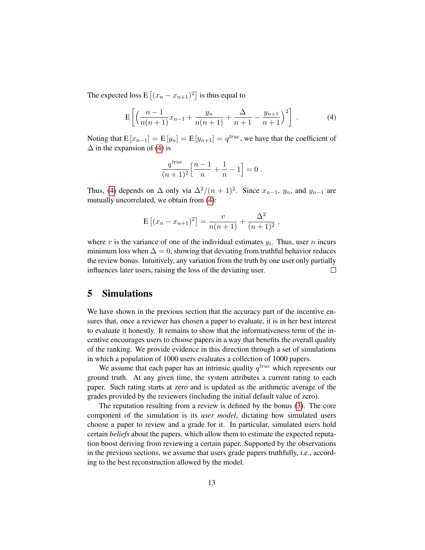The expected loss  $E\left[ (x_n - x_{n+1})^2 \right]$  is thus equal to

<span id="page-12-1"></span>
$$
E\left[\left(\frac{n-1}{n(n+1)}x_{n-1} + \frac{y_n}{n(n+1)} + \frac{\Delta}{n+1} - \frac{y_{n+1}}{n+1}\right)^2\right].
$$
 (4)

Noting that  $E[x_{n-1}] = E[y_n] = E[y_{n+1}] = q^{true}$ , we have that the coefficient of  $\Delta$  in the expansion of [\(4\)](#page-12-1) is

$$
\frac{q^{true}}{(n+1)^2}\Big[\frac{n-1}{n}+\frac{1}{n}-1\Big]=0\;.
$$

Thus, [\(4\)](#page-12-1) depends on  $\Delta$  only via  $\Delta^2/(n+1)^2$ . Since  $x_{n-1}$ ,  $y_n$ , and  $y_{n-1}$  are mutually uncorrelated, we obtain from [\(4\)](#page-12-1):

$$
E [(x_n - x_{n+1})^2] = \frac{v}{n(n+1)} + \frac{\Delta^2}{(n+1)^2},
$$

where v is the variance of one of the individual estimates  $y_i$ . Thus, user n incurs minimum loss when  $\Delta = 0$ , showing that deviating from truthful behavior reduces the review bonus. Intuitively, any variation from the truth by one user only partially influences later users, raising the loss of the deviating user.  $\Box$ 

## <span id="page-12-0"></span>5 Simulations

We have shown in the previous section that the accuracy part of the incentive ensures that, once a reviewer has chosen a paper to evaluate, it is in her best interest to evaluate it honestly. It remains to show that the informativeness term of the incentive encourages users to choose papers in a way that benefits the overall quality of the ranking. We provide evidence in this direction through a set of simulations in which a population of 1000 users evaluates a collection of 1000 papers.

We assume that each paper has an intrinsic quality  $q^{true}$  which represents our ground truth. At any given time, the system attributes a current rating to each paper. Such rating starts at zero and is updated as the arithmetic average of the grades provided by the reviewers (including the initial default value of zero).

The reputation resulting from a review is defined by the bonus [\(3\)](#page-9-2). The core component of the simulation is its *user model*, dictating how simulated users choose a paper to review and a grade for it. In particular, simulated users hold certain *beliefs* about the papers, which allow them to estimate the expected reputation boost deriving from reviewing a certain paper. Supported by the observations in the previous sections, we assume that users grade papers truthfully, i.e., according to the best reconstruction allowed by the model.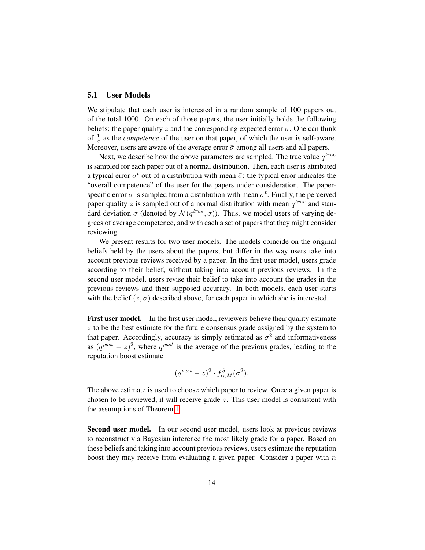#### 5.1 User Models

We stipulate that each user is interested in a random sample of 100 papers out of the total 1000. On each of those papers, the user initially holds the following beliefs: the paper quality z and the corresponding expected error  $\sigma$ . One can think of  $\frac{1}{\sigma}$  as the *competence* of the user on that paper, of which the user is self-aware. Moreover, users are aware of the average error  $\bar{\sigma}$  among all users and all papers.

Next, we describe how the above parameters are sampled. The true value  $q^{true}$ is sampled for each paper out of a normal distribution. Then, each user is attributed a typical error  $\sigma^t$  out of a distribution with mean  $\bar{\sigma}$ ; the typical error indicates the "overall competence" of the user for the papers under consideration. The paperspecific error  $\sigma$  is sampled from a distribution with mean  $\sigma^t$ . Finally, the perceived paper quality z is sampled out of a normal distribution with mean  $q^{true}$  and standard deviation  $\sigma$  (denoted by  $\mathcal{N}(q^{true}, \sigma)$ ). Thus, we model users of varying degrees of average competence, and with each a set of papers that they might consider reviewing.

We present results for two user models. The models coincide on the original beliefs held by the users about the papers, but differ in the way users take into account previous reviews received by a paper. In the first user model, users grade according to their belief, without taking into account previous reviews. In the second user model, users revise their belief to take into account the grades in the previous reviews and their supposed accuracy. In both models, each user starts with the belief  $(z, \sigma)$  described above, for each paper in which she is interested.

First user model. In the first user model, reviewers believe their quality estimate  $z$  to be the best estimate for the future consensus grade assigned by the system to that paper. Accordingly, accuracy is simply estimated as  $\sigma^2$  and informativeness as  $(q^{past} - z)^2$ , where  $q^{past}$  is the average of the previous grades, leading to the reputation boost estimate

$$
(q^{past}-z)^2 \cdot f_{\alpha,M}^S(\sigma^2).
$$

The above estimate is used to choose which paper to review. Once a given paper is chosen to be reviewed, it will receive grade z. This user model is consistent with the assumptions of Theorem [1.](#page-11-0)

Second user model. In our second user model, users look at previous reviews to reconstruct via Bayesian inference the most likely grade for a paper. Based on these beliefs and taking into account previous reviews, users estimate the reputation boost they may receive from evaluating a given paper. Consider a paper with  $n$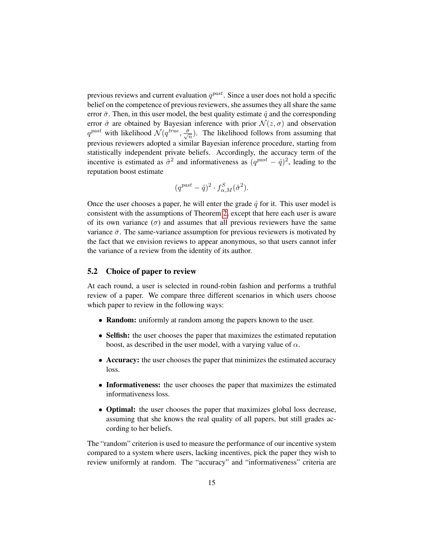previous reviews and current evaluation  $q^{past}$ . Since a user does not hold a specific belief on the competence of previous reviewers, she assumes they all share the same error  $\bar{\sigma}$ . Then, in this user model, the best quality estimate  $\hat{q}$  and the corresponding error  $\hat{\sigma}$  are obtained by Bayesian inference with prior  $\mathcal{N}(z, \sigma)$  and observation  $q^{past}$  with likelihood  $\mathcal{N}(q^{true}, \frac{\bar{\sigma}}{\sqrt{n}})$ . The likelihood follows from assuming that previous reviewers adopted a similar Bayesian inference procedure, starting from statistically independent private beliefs. Accordingly, the accuracy term of the incentive is estimated as  $\hat{\sigma}^2$  and informativeness as  $(q^{past} - \hat{q})^2$ , leading to the reputation boost estimate

$$
(q^{past}-\hat{q})^2\cdot f_{\alpha,M}^S(\hat{\sigma}^2).
$$

Once the user chooses a paper, he will enter the grade  $\hat{q}$  for it. This user model is consistent with the assumptions of Theorem [2,](#page-11-1) except that here each user is aware of its own variance  $(\sigma)$  and assumes that all previous reviewers have the same variance  $\bar{\sigma}$ . The same-variance assumption for previous reviewers is motivated by the fact that we envision reviews to appear anonymous, so that users cannot infer the variance of a review from the identity of its author.

### <span id="page-14-0"></span>5.2 Choice of paper to review

At each round, a user is selected in round-robin fashion and performs a truthful review of a paper. We compare three different scenarios in which users choose which paper to review in the following ways:

- Random: uniformly at random among the papers known to the user.
- Selfish: the user chooses the paper that maximizes the estimated reputation boost, as described in the user model, with a varying value of  $\alpha$ .
- Accuracy: the user chooses the paper that minimizes the estimated accuracy loss.
- Informativeness: the user chooses the paper that maximizes the estimated informativeness loss.
- **Optimal:** the user chooses the paper that maximizes global loss decrease, assuming that she knows the real quality of all papers, but still grades according to her beliefs.

The "random" criterion is used to measure the performance of our incentive system compared to a system where users, lacking incentives, pick the paper they wish to review uniformly at random. The "accuracy" and "informativeness" criteria are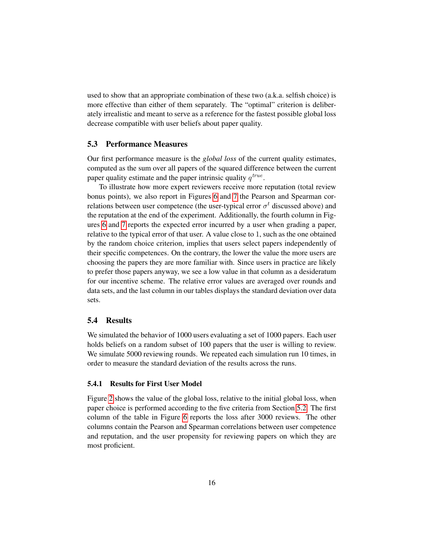used to show that an appropriate combination of these two (a.k.a. selfish choice) is more effective than either of them separately. The "optimal" criterion is deliberately irrealistic and meant to serve as a reference for the fastest possible global loss decrease compatible with user beliefs about paper quality.

#### 5.3 Performance Measures

Our first performance measure is the *global loss* of the current quality estimates, computed as the sum over all papers of the squared difference between the current paper quality estimate and the paper intrinsic quality  $q^{true}$ .

To illustrate how more expert reviewers receive more reputation (total review bonus points), we also report in Figures [6](#page-18-0) and [7](#page-18-1) the Pearson and Spearman correlations between user competence (the user-typical error  $\sigma^t$  discussed above) and the reputation at the end of the experiment. Additionally, the fourth column in Figures [6](#page-18-0) and [7](#page-18-1) reports the expected error incurred by a user when grading a paper, relative to the typical error of that user. A value close to 1, such as the one obtained by the random choice criterion, implies that users select papers independently of their specific competences. On the contrary, the lower the value the more users are choosing the papers they are more familiar with. Since users in practice are likely to prefer those papers anyway, we see a low value in that column as a desideratum for our incentive scheme. The relative error values are averaged over rounds and data sets, and the last column in our tables displays the standard deviation over data sets.

### 5.4 Results

We simulated the behavior of 1000 users evaluating a set of 1000 papers. Each user holds beliefs on a random subset of 100 papers that the user is willing to review. We simulate 5000 reviewing rounds. We repeated each simulation run 10 times, in order to measure the standard deviation of the results across the runs.

#### 5.4.1 Results for First User Model

Figure [2](#page-16-0) shows the value of the global loss, relative to the initial global loss, when paper choice is performed according to the five criteria from Section [5.2.](#page-14-0) The first column of the table in Figure [6](#page-18-0) reports the loss after 3000 reviews. The other columns contain the Pearson and Spearman correlations between user competence and reputation, and the user propensity for reviewing papers on which they are most proficient.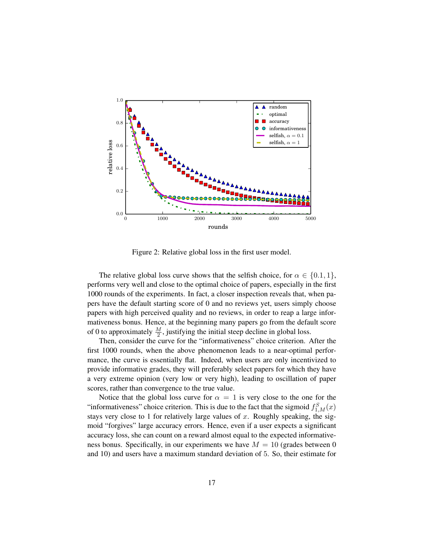

<span id="page-16-0"></span>Figure 2: Relative global loss in the first user model.

The relative global loss curve shows that the selfish choice, for  $\alpha \in \{0.1, 1\}$ , performs very well and close to the optimal choice of papers, especially in the first 1000 rounds of the experiments. In fact, a closer inspection reveals that, when papers have the default starting score of 0 and no reviews yet, users simply choose papers with high perceived quality and no reviews, in order to reap a large informativeness bonus. Hence, at the beginning many papers go from the default score of 0 to approximately  $\frac{M}{2}$ , justifying the initial steep decline in global loss.

Then, consider the curve for the "informativeness" choice criterion. After the first 1000 rounds, when the above phenomenon leads to a near-optimal performance, the curve is essentially flat. Indeed, when users are only incentivized to provide informative grades, they will preferably select papers for which they have a very extreme opinion (very low or very high), leading to oscillation of paper scores, rather than convergence to the true value.

Notice that the global loss curve for  $\alpha = 1$  is very close to the one for the "informativeness" choice criterion. This is due to the fact that the sigmoid  $f_{1,M}^S(x)$ stays very close to 1 for relatively large values of  $x$ . Roughly speaking, the sigmoid "forgives" large accuracy errors. Hence, even if a user expects a significant accuracy loss, she can count on a reward almost equal to the expected informativeness bonus. Specifically, in our experiments we have  $M = 10$  (grades between 0 and 10) and users have a maximum standard deviation of 5. So, their estimate for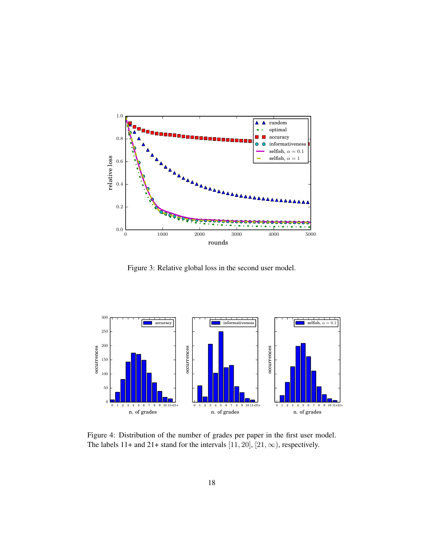

<span id="page-17-0"></span>Figure 3: Relative global loss in the second user model.



Figure 4: Distribution of the number of grades per paper in the first user model. The labels 11+ and 21+ stand for the intervals [11, 20], [21,  $\infty$ ), respectively.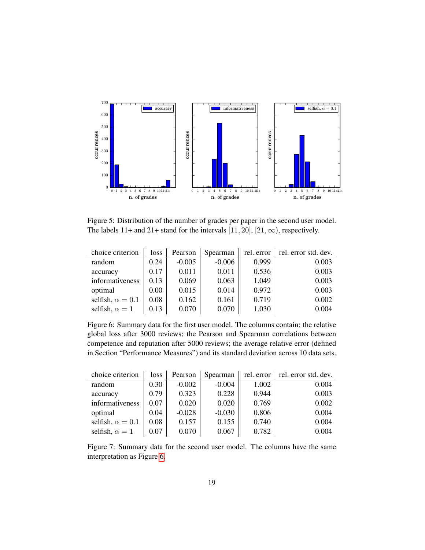

<span id="page-18-2"></span>Figure 5: Distribution of the number of grades per paper in the second user model. The labels 11+ and 21+ stand for the intervals [11, 20], [21,  $\infty$ ), respectively.

| choice criterion        | loss     | Pearson  | Spearman | rel. error | rel. error std. dev. |
|-------------------------|----------|----------|----------|------------|----------------------|
| random                  | 0.24     | $-0.005$ | $-0.006$ | 0.999      | 0.003                |
| accuracy                | 0.17     | 0.011    | 0.011    | 0.536      | 0.003                |
| informativeness         | 0.13     | 0.069    | 0.063    | 1.049      | 0.003                |
| optimal                 | $0.00\,$ | 0.015    | 0.014    | 0.972      | 0.003                |
| selfish, $\alpha = 0.1$ | 0.08     | 0.162    | 0.161    | 0.719      | 0.002                |
| selfish, $\alpha = 1$   | 0.13     | 0.070    | 0.070    | 1.030      | 0.004                |

<span id="page-18-0"></span>Figure 6: Summary data for the first user model. The columns contain: the relative global loss after 3000 reviews; the Pearson and Spearman correlations between competence and reputation after 5000 reviews; the average relative error (defined in Section "Performance Measures") and its standard deviation across 10 data sets.

| choice criterion        | loss | Pearson  | Spearman | rel. error | rel. error std. dev. |
|-------------------------|------|----------|----------|------------|----------------------|
| random                  | 0.30 | $-0.002$ | $-0.004$ | 1.002      | 0.004                |
| accuracy                | 0.79 | 0.323    | 0.228    | 0.944      | 0.003                |
| informativeness         | 0.07 | 0.020    | 0.020    | 0.769      | 0.002                |
| optimal                 | 0.04 | $-0.028$ | $-0.030$ | 0.806      | 0.004                |
| selfish, $\alpha = 0.1$ | 0.08 | 0.157    | 0.155    | 0.740      | 0.004                |
| selfish, $\alpha = 1$   | 0.07 | 0.070    | 0.067    | 0.782      | 0.004                |

<span id="page-18-1"></span>Figure 7: Summary data for the second user model. The columns have the same interpretation as Figure [6.](#page-18-0)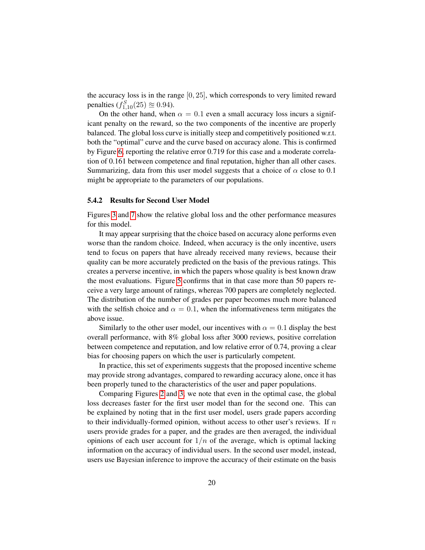the accuracy loss is in the range [0, 25], which corresponds to very limited reward penalties  $(f_{1,10}^S(25) \approx 0.94)$ .

On the other hand, when  $\alpha = 0.1$  even a small accuracy loss incurs a significant penalty on the reward, so the two components of the incentive are properly balanced. The global loss curve is initially steep and competitively positioned w.r.t. both the "optimal" curve and the curve based on accuracy alone. This is confirmed by Figure [6,](#page-18-0) reporting the relative error 0.719 for this case and a moderate correlation of 0.161 between competence and final reputation, higher than all other cases. Summarizing, data from this user model suggests that a choice of  $\alpha$  close to 0.1 might be appropriate to the parameters of our populations.

#### 5.4.2 Results for Second User Model

Figures [3](#page-17-0) and [7](#page-18-1) show the relative global loss and the other performance measures for this model.

It may appear surprising that the choice based on accuracy alone performs even worse than the random choice. Indeed, when accuracy is the only incentive, users tend to focus on papers that have already received many reviews, because their quality can be more accurately predicted on the basis of the previous ratings. This creates a perverse incentive, in which the papers whose quality is best known draw the most evaluations. Figure [5](#page-18-2) confirms that in that case more than 50 papers receive a very large amount of ratings, whereas 700 papers are completely neglected. The distribution of the number of grades per paper becomes much more balanced with the selfish choice and  $\alpha = 0.1$ , when the informativeness term mitigates the above issue.

Similarly to the other user model, our incentives with  $\alpha = 0.1$  display the best overall performance, with 8% global loss after 3000 reviews, positive correlation between competence and reputation, and low relative error of 0.74, proving a clear bias for choosing papers on which the user is particularly competent.

In practice, this set of experiments suggests that the proposed incentive scheme may provide strong advantages, compared to rewarding accuracy alone, once it has been properly tuned to the characteristics of the user and paper populations.

Comparing Figures [2](#page-16-0) and [3,](#page-17-0) we note that even in the optimal case, the global loss decreases faster for the first user model than for the second one. This can be explained by noting that in the first user model, users grade papers according to their individually-formed opinion, without access to other user's reviews. If  $n$ users provide grades for a paper, and the grades are then averaged, the individual opinions of each user account for  $1/n$  of the average, which is optimal lacking information on the accuracy of individual users. In the second user model, instead, users use Bayesian inference to improve the accuracy of their estimate on the basis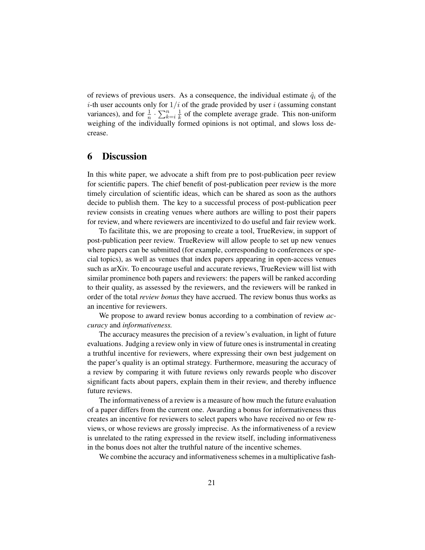of reviews of previous users. As a consequence, the individual estimate  $\hat{q}_i$  of the *i*-th user accounts only for  $1/i$  of the grade provided by user *i* (assuming constant variances), and for  $\frac{1}{n} \cdot \sum_{k=i}^{n} \frac{1}{k}$  $\frac{1}{k}$  of the complete average grade. This non-uniform weighing of the individually formed opinions is not optimal, and slows loss decrease.

## 6 Discussion

In this white paper, we advocate a shift from pre to post-publication peer review for scientific papers. The chief benefit of post-publication peer review is the more timely circulation of scientific ideas, which can be shared as soon as the authors decide to publish them. The key to a successful process of post-publication peer review consists in creating venues where authors are willing to post their papers for review, and where reviewers are incentivized to do useful and fair review work.

To facilitate this, we are proposing to create a tool, TrueReview, in support of post-publication peer review. TrueReview will allow people to set up new venues where papers can be submitted (for example, corresponding to conferences or special topics), as well as venues that index papers appearing in open-access venues such as arXiv. To encourage useful and accurate reviews, TrueReview will list with similar prominence both papers and reviewers: the papers will be ranked according to their quality, as assessed by the reviewers, and the reviewers will be ranked in order of the total *review bonus* they have accrued. The review bonus thus works as an incentive for reviewers.

We propose to award review bonus according to a combination of review *accuracy* and *informativeness.*

The accuracy measures the precision of a review's evaluation, in light of future evaluations. Judging a review only in view of future ones is instrumental in creating a truthful incentive for reviewers, where expressing their own best judgement on the paper's quality is an optimal strategy. Furthermore, measuring the accuracy of a review by comparing it with future reviews only rewards people who discover significant facts about papers, explain them in their review, and thereby influence future reviews.

The informativeness of a review is a measure of how much the future evaluation of a paper differs from the current one. Awarding a bonus for informativeness thus creates an incentive for reviewers to select papers who have received no or few reviews, or whose reviews are grossly imprecise. As the informativeness of a review is unrelated to the rating expressed in the review itself, including informativeness in the bonus does not alter the truthful nature of the incentive schemes.

We combine the accuracy and informativeness schemes in a multiplicative fash-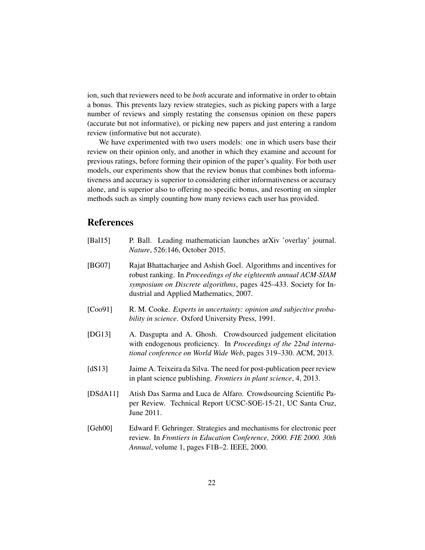ion, such that reviewers need to be *both* accurate and informative in order to obtain a bonus. This prevents lazy review strategies, such as picking papers with a large number of reviews and simply restating the consensus opinion on these papers (accurate but not informative), or picking new papers and just entering a random review (informative but not accurate).

We have experimented with two users models: one in which users base their review on their opinion only, and another in which they examine and account for previous ratings, before forming their opinion of the paper's quality. For both user models, our experiments show that the review bonus that combines both informativeness and accuracy is superior to considering either informativeness or accuracy alone, and is superior also to offering no specific bonus, and resorting on simpler methods such as simply counting how many reviews each user has provided.

## References

- <span id="page-21-2"></span>[Bal15] P. Ball. Leading mathematician launches arXiv 'overlay' journal. *Nature*, 526:146, October 2015.
- <span id="page-21-3"></span>[BG07] Rajat Bhattacharjee and Ashish Goel. Algorithms and incentives for robust ranking. In *Proceedings of the eighteenth annual ACM-SIAM symposium on Discrete algorithms*, pages 425–433. Society for Industrial and Applied Mathematics, 2007.
- <span id="page-21-4"></span>[Coo91] R. M. Cooke. *Experts in uncertainty: opinion and subjective probability in science*. Oxford University Press, 1991.
- <span id="page-21-5"></span>[DG13] A. Dasgupta and A. Ghosh. Crowdsourced judgement elicitation with endogenous proficiency. In *Proceedings of the 22nd international conference on World Wide Web*, pages 319–330. ACM, 2013.
- <span id="page-21-1"></span>[dS13] Jaime A. Teixeira da Silva. The need for post-publication peer review in plant science publishing. *Frontiers in plant science*, 4, 2013.
- <span id="page-21-0"></span>[DSdA11] Atish Das Sarma and Luca de Alfaro. Crowdsourcing Scientific Paper Review. Technical Report UCSC-SOE-15-21, UC Santa Cruz, June 2011.
- <span id="page-21-6"></span>[Geh00] Edward F. Gehringer. Strategies and mechanisms for electronic peer review. In *Frontiers in Education Conference, 2000. FIE 2000. 30th Annual*, volume 1, pages F1B–2. IEEE, 2000.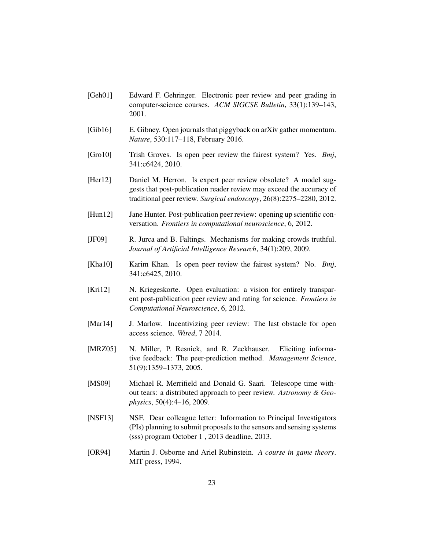- <span id="page-22-11"></span>[Geh01] Edward F. Gehringer. Electronic peer review and peer grading in computer-science courses. *ACM SIGCSE Bulletin*, 33(1):139–143, 2001.
- <span id="page-22-8"></span>[Gib16] E. Gibney. Open journals that piggyback on arXiv gather momentum. *Nature*, 530:117–118, February 2016.
- <span id="page-22-1"></span>[Gro10] Trish Groves. Is open peer review the fairest system? Yes. *Bmj*, 341:c6424, 2010.
- <span id="page-22-4"></span>[Her12] Daniel M. Herron. Is expert peer review obsolete? A model suggests that post-publication reader review may exceed the accuracy of traditional peer review. *Surgical endoscopy*, 26(8):2275–2280, 2012.
- <span id="page-22-3"></span>[Hun12] Jane Hunter. Post-publication peer review: opening up scientific conversation. *Frontiers in computational neuroscience*, 6, 2012.
- <span id="page-22-10"></span>[JF09] R. Jurca and B. Faltings. Mechanisms for making crowds truthful. *Journal of Artificial Intelligence Research*, 34(1):209, 2009.
- <span id="page-22-2"></span>[Kha10] Karim Khan. Is open peer review the fairest system? No. *Bmj*, 341:c6425, 2010.
- <span id="page-22-0"></span>[Kri12] N. Kriegeskorte. Open evaluation: a vision for entirely transparent post-publication peer review and rating for science. *Frontiers in Computational Neuroscience*, 6, 2012.
- <span id="page-22-5"></span>[Mar14] J. Marlow. Incentivizing peer review: The last obstacle for open access science. *Wired*, 7 2014.
- <span id="page-22-9"></span>[MRZ05] N. Miller, P. Resnick, and R. Zeckhauser. Eliciting informative feedback: The peer-prediction method. *Management Science*, 51(9):1359–1373, 2005.
- <span id="page-22-6"></span>[MS09] Michael R. Merrifield and Donald G. Saari. Telescope time without tears: a distributed approach to peer review. *Astronomy & Geophysics*, 50(4):4–16, 2009.
- <span id="page-22-7"></span>[NSF13] NSF. Dear colleague letter: Information to Principal Investigators (PIs) planning to submit proposals to the sensors and sensing systems (sss) program October 1 , 2013 deadline, 2013.
- <span id="page-22-12"></span>[OR94] Martin J. Osborne and Ariel Rubinstein. *A course in game theory*. MIT press, 1994.